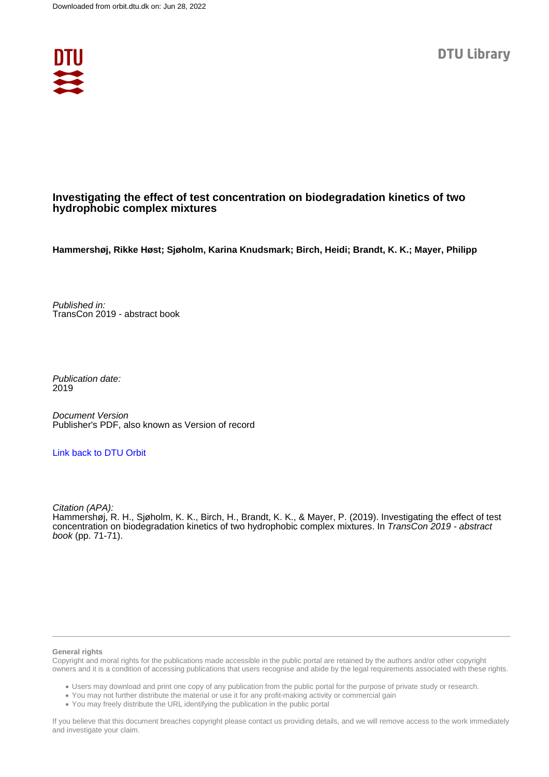

## **Investigating the effect of test concentration on biodegradation kinetics of two hydrophobic complex mixtures**

**Hammershøj, Rikke Høst; Sjøholm, Karina Knudsmark; Birch, Heidi; Brandt, K. K.; Mayer, Philipp**

Published in: TransCon 2019 - abstract book

Publication date: 2019

Document Version Publisher's PDF, also known as Version of record

## [Link back to DTU Orbit](https://orbit.dtu.dk/en/publications/6732e4ad-1203-4287-82a2-eb7cc3c6b8c3)

Citation (APA): Hammershøj, R. H., Sjøholm, K. K., Birch, H., Brandt, K. K., & Mayer, P. (2019). Investigating the effect of test concentration on biodegradation kinetics of two hydrophobic complex mixtures. In TransCon 2019 - abstract book (pp. 71-71).

#### **General rights**

Copyright and moral rights for the publications made accessible in the public portal are retained by the authors and/or other copyright owners and it is a condition of accessing publications that users recognise and abide by the legal requirements associated with these rights.

Users may download and print one copy of any publication from the public portal for the purpose of private study or research.

- You may not further distribute the material or use it for any profit-making activity or commercial gain
- You may freely distribute the URL identifying the publication in the public portal

If you believe that this document breaches copyright please contact us providing details, and we will remove access to the work immediately and investigate your claim.